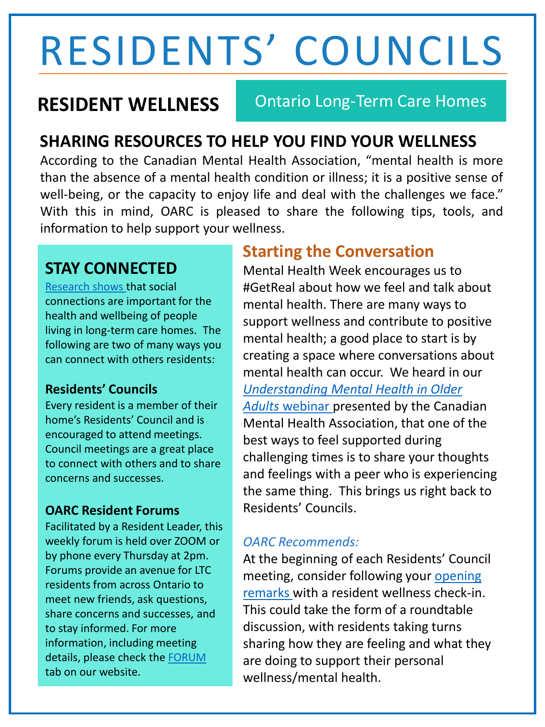# RESIDENTS' COUNCILS

**RESIDENT WELLNESS** Ontario Long-Term Care Homes

### **SHARING RESOURCES TO HELP YOU FIND YOUR WELLNESS**

According to the Canadian Mental Health Association, "mental health is more than the absence of a mental health condition or illness; it is a positive sense of well-being, or the capacity to enjoy life and deal with the challenges we face." With this in mind, OARC is pleased to share the following tips, tools, and information to help support your wellness.

#### **STAY CONNECTED**

[Research shows t](https://covid19mentalhealthresearch.ca/wp-content/uploads/2021/01/BETHELL-Bethell-Final-Knowledge-Synthesis-2020-11-23-EN.pdf)hat social connections are important for the health and wellbeing of people living in long-term care homes. The following are two of many ways you can connect with others residents:

#### **Residents' Councils**

Every resident is a member of their home's Residents' Council and is encouraged to attend meetings. Council meetings are a great place to connect with others and to share concerns and successes.

#### **OARC Resident Forums**

Facilitated by a Resident Leader, this weekly forum is held over ZOOM or by phone every Thursday at 2pm. Forums provide an avenue for LTC residents from across Ontario to meet new friends, ask questions, share concerns and successes, and to stay informed. For more information, including meeting details, please check the [FORUM](https://www.ontarc.com/resident-forums.html) tab on our website.

#### **Starting the Conversation**

Mental Health Week encourages us to #GetReal about how we feel and talk about mental health. There are many ways to support wellness and contribute to positive mental health; a good place to start is by creating a space where conversations about mental health can occur. We heard in our *[Understanding Mental Health in Older](https://www.youtube.com/watch?v=hGDT34h0UIM)  Adults* webinar presented by the Canadian Mental Health Association, that one of the best ways to feel supported during challenging times is to share your thoughts and feelings with a peer who is experiencing the same thing. This brings us right back to Residents' Councils.

#### *OARC Recommends:*

At the beginning of each Residents' Council meeting, consider following your opening [remarks with a resident wellness check-in](https://view.officeapps.live.com/op/view.aspx?src=https%3A%2F%2Fwww.ontarc.com%2Fdocuments%2Fopening-guidelines-and-closing-remarks%2FOpeningGuidelinesClosingRemarks_04162013_Font12.docx&wdOrigin=BROWSELINK). This could take the form of a roundtable discussion, with residents taking turns sharing how they are feeling and what they are doing to support their personal wellness/mental health.